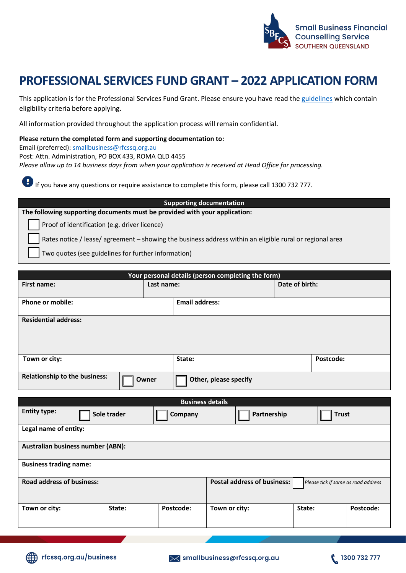

## **PROFESSIONAL SERVICES FUND GRANT – 2022 APPLICATION FORM**

This application is for the Professional Services Fund Grant. Please ensure you have read th[e guidelines](https://www.rfcssq.org.au/wp-content/uploads/2022/06/PSF-grant-guidelines-062022.pdf) which contain eligibility criteria before applying.

All information provided throughout the application process will remain confidential.

**Please return the completed form and supporting documentation to:** Email (preferred): [smallbusiness@rfcssq.org.au](mailto:smallbusiness@rfcssq.org.au) Post: Attn. Administration, PO BOX 433, ROMA QLD 4455 *Please allow up to 14 business days from when your application is received at Head Office for processing.*

If you have any questions or require assistance to complete this form, please call 1300 732 777.

**Supporting documentation The following supporting documents must be provided with your application:** Proof of identification (e.g. driver licence)

Rates notice / lease/ agreement – showing the business address within an eligible rural or regional area

Two quotes (see guidelines for further information)

| Your personal details (person completing the form)                           |        |            |                         |                             |                |           |                                     |
|------------------------------------------------------------------------------|--------|------------|-------------------------|-----------------------------|----------------|-----------|-------------------------------------|
| First name:                                                                  |        | Last name: |                         |                             | Date of birth: |           |                                     |
| <b>Phone or mobile:</b>                                                      |        |            | <b>Email address:</b>   |                             |                |           |                                     |
| <b>Residential address:</b>                                                  |        |            |                         |                             |                |           |                                     |
|                                                                              |        |            |                         |                             |                |           |                                     |
|                                                                              |        |            |                         |                             |                |           |                                     |
| Town or city:                                                                |        |            | State:                  |                             |                | Postcode: |                                     |
| <b>Relationship to the business:</b><br>Owner<br>Other, please specify       |        |            |                         |                             |                |           |                                     |
|                                                                              |        |            | <b>Business details</b> |                             |                |           |                                     |
| <b>Entity type:</b><br>Sole trader<br>Partnership<br>Company<br><b>Trust</b> |        |            |                         |                             |                |           |                                     |
| Legal name of entity:                                                        |        |            |                         |                             |                |           |                                     |
| <b>Australian business number (ABN):</b>                                     |        |            |                         |                             |                |           |                                     |
| <b>Business trading name:</b>                                                |        |            |                         |                             |                |           |                                     |
| <b>Road address of business:</b>                                             |        |            |                         | Postal address of business: |                |           | Please tick if same as road address |
| Town or city:                                                                | State: | Postcode:  | Town or city:           |                             | State:         |           | Postcode:                           |

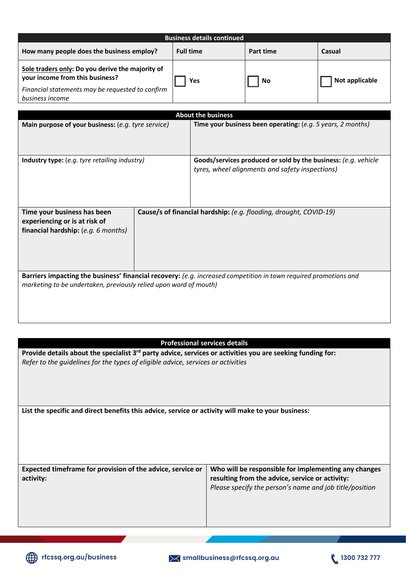| <b>Business details continued</b>                                                                                                                          |                  |           |                |  |
|------------------------------------------------------------------------------------------------------------------------------------------------------------|------------------|-----------|----------------|--|
| How many people does the business employ?                                                                                                                  | <b>Full time</b> | Part time | Casual         |  |
| Sole traders only: Do you derive the majority of<br>your income from this business?<br>Financial statements may be requested to confirm<br>business income | Yes              | No        | Not applicable |  |

| <b>About the business</b>                                                                                                                                                             |  |                                                                                                                   |  |  |
|---------------------------------------------------------------------------------------------------------------------------------------------------------------------------------------|--|-------------------------------------------------------------------------------------------------------------------|--|--|
| Main purpose of your business: (e.g. tyre service)                                                                                                                                    |  | Time your business been operating: (e.g. 5 years, 2 months)                                                       |  |  |
| <b>Industry type:</b> (e.g. tyre retailing industry)                                                                                                                                  |  | Goods/services produced or sold by the business: (e.g. vehicle<br>tyres, wheel alignments and safety inspections) |  |  |
| Time your business has been<br>experiencing or is at risk of<br>financial hardship: $(e.g. 6 months)$                                                                                 |  | Cause/s of financial hardship: (e.g. flooding, drought, COVID-19)                                                 |  |  |
| Barriers impacting the business' financial recovery: (e.g. increased competition in town required promotions and<br>marketing to be undertaken, previously relied upon word of mouth) |  |                                                                                                                   |  |  |

## **Professional services details**

**Provide details about the specialist 3rd party advice, services or activities you are seeking funding for:** *Refer to the guidelines for the types of eligible advice, services or activities*

**List the specific and direct benefits this advice, service or activity will make to your business:**

| Expected timeframe for provision of the advice, service or | Who will be responsible for implementing any changes    |
|------------------------------------------------------------|---------------------------------------------------------|
| activity:                                                  | resulting from the advice, service or activity:         |
|                                                            | Please specify the person's name and job title/position |